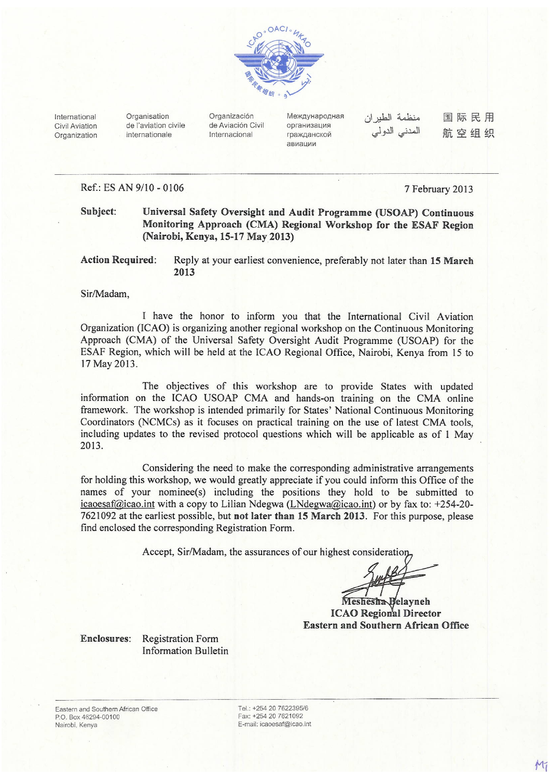

International Civil Aviation Organization Organisation de l'aviation civile internationale

Organización de Aviación Civil Internacional

Международная организация гражданской авиации

منظمة الطيران المدنى الدولي

国际民用 航空组织

### Ref.: ES AN 9/10 - 0106

7 February 2013

Subject: Universal Safety Oversight and Audit Programme (USOAP) Continuous Monitoring Approach (CMA) Regional Workshop for the ESAF Region (Nairobi, Kenya, 15-17 May 2013)

**Action Required:** Reply at your earliest convenience, preferably not later than 15 March 2013

Sir/Madam,

I have the honor to inform you that the International Civil Aviation Organization (ICAO) is organizing another regional workshop on the Continuous Monitoring Approach (CMA) of the Universal Safety Oversight Audit Programme (USOAP) for the ESAF Region, which will be held at the ICAO Regional Office, Nairobi, Kenya from 15 to 17 May 2013.

The objectives of this workshop are to provide States with updated information on the ICAO USOAP CMA and hands-on training on the CMA online framework. The workshop is intended primarily for States' National Continuous Monitoring Coordinators (NCMCs) as it focuses on practical training on the use of latest CMA tools, including updates to the revised protocol questions which will be applicable as of 1 May 2013.

Considering the need to make the corresponding administrative arrangements for holding this workshop, we would greatly appreciate if you could inform this Office of the names of your nominee(s) including the positions they hold to be submitted to icaoesaf@icao.int with a copy to Lilian Ndegwa (LNdegwa@icao.int) or by fax to: +254-20-7621092 at the earliest possible, but not later than 15 March 2013. For this purpose, please find enclosed the corresponding Registration Form.

Accept, Sir/Madam, the assurances of our highest consideration

Belayneh **ICAO Regional Director Eastern and Southern African Office** 

Enclosures: Registration Form **Information Bulletin** 

Eastern and Southern African Office PO Box 46294-00100 Nairobi, Kenya

Tel.: +254 20 7622395/6 Fax: +254 20 7621092 E-mail: icaoesaf@icao.int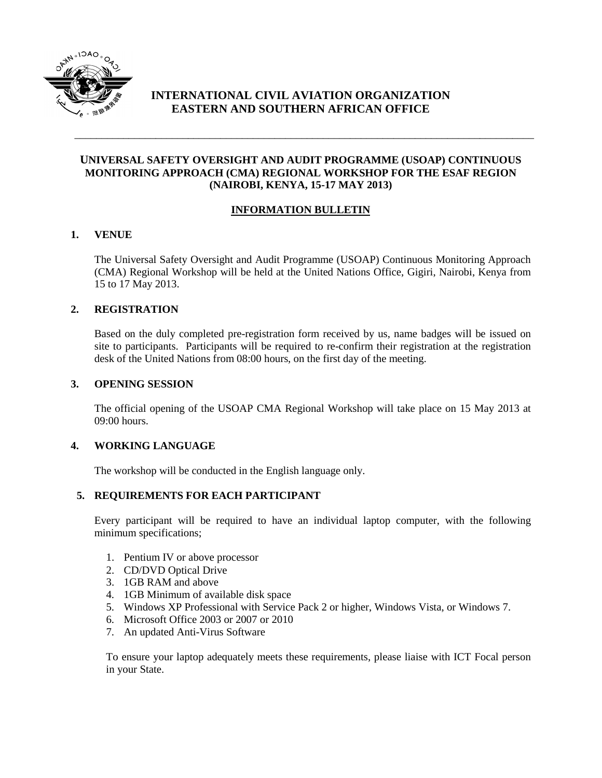

# **INTERNATIONAL CIVIL AVIATION ORGANIZATION EASTERN AND SOUTHERN AFRICAN OFFICE**

## **UNIVERSAL SAFETY OVERSIGHT AND AUDIT PROGRAMME (USOAP) CONTINUOUS MONITORING APPROACH (CMA) REGIONAL WORKSHOP FOR THE ESAF REGION (NAIROBI, KENYA, 15-17 MAY 2013)**

\_\_\_\_\_\_\_\_\_\_\_\_\_\_\_\_\_\_\_\_\_\_\_\_\_\_\_\_\_\_\_\_\_\_\_\_\_\_\_\_\_\_\_\_\_\_\_\_\_\_\_\_\_\_\_\_\_\_\_\_\_\_\_\_\_\_\_\_\_\_\_\_\_\_\_\_\_\_\_\_\_\_\_\_\_

## **INFORMATION BULLETIN**

## **1. VENUE**

The Universal Safety Oversight and Audit Programme (USOAP) Continuous Monitoring Approach (CMA) Regional Workshop will be held at the United Nations Office, Gigiri, Nairobi, Kenya from 15 to 17 May 2013.

### **2. REGISTRATION**

Based on the duly completed pre-registration form received by us, name badges will be issued on site to participants. Participants will be required to re-confirm their registration at the registration desk of the United Nations from 08:00 hours, on the first day of the meeting.

### **3. OPENING SESSION**

The official opening of the USOAP CMA Regional Workshop will take place on 15 May 2013 at  $09:00$  hours.

### **4. WORKING LANGUAGE**

The workshop will be conducted in the English language only.

### **5. REQUIREMENTS FOR EACH PARTICIPANT**

Every participant will be required to have an individual laptop computer, with the following minimum specifications;

- 1. Pentium IV or above processor
- 2. CD/DVD Optical Drive
- 3. 1GB RAM and above
- 4. 1GB Minimum of available disk space
- 5. Windows XP Professional with Service Pack 2 or higher, Windows Vista, or Windows 7.
- 6. Microsoft Office 2003 or 2007 or 2010
- 7. An updated Anti-Virus Software

To ensure your laptop adequately meets these requirements, please liaise with ICT Focal person in your State.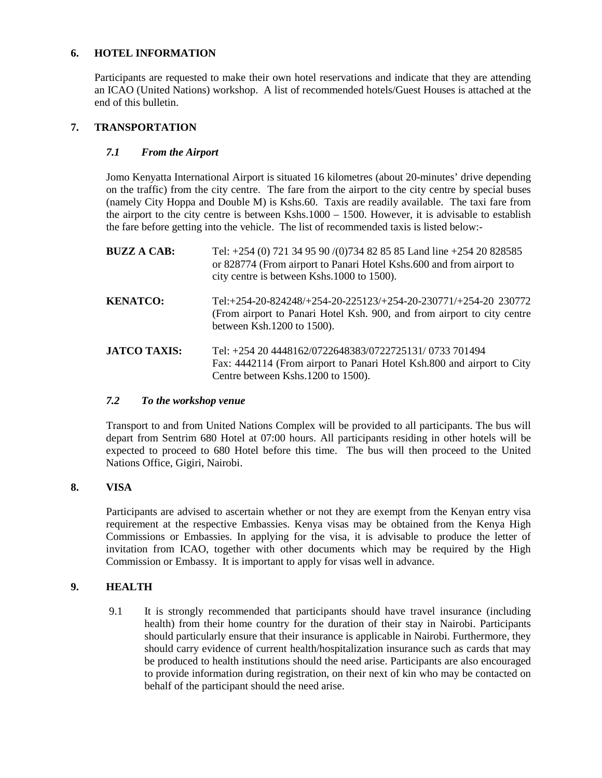### **6. HOTEL INFORMATION**

Participants are requested to make their own hotel reservations and indicate that they are attending an ICAO (United Nations) workshop. A list of recommended hotels/Guest Houses is attached at the end of this bulletin.

## **7. TRANSPORTATION**

## *7.1 From the Airport*

Jomo Kenyatta International Airport is situated 16 kilometres (about 20-minutes' drive depending on the traffic) from the city centre. The fare from the airport to the city centre by special buses (namely City Hoppa and Double M) is Kshs.60. Taxis are readily available. The taxi fare from the airport to the city centre is between Kshs.1000 – 1500. However, it is advisable to establish the fare before getting into the vehicle. The list of recommended taxis is listed below:-

| <b>BUZZ A CAB:</b>  | Tel: +254 (0) 721 34 95 90 /(0)734 82 85 85 Land line +254 20 828585<br>or 828774 (From airport to Panari Hotel Kshs.600 and from airport to<br>city centre is between Kshs.1000 to 1500). |
|---------------------|--------------------------------------------------------------------------------------------------------------------------------------------------------------------------------------------|
| <b>KENATCO:</b>     | Tel:+254-20-824248/+254-20-225123/+254-20-230771/+254-20 230772<br>(From airport to Panari Hotel Ksh. 900, and from airport to city centre<br>between Ksh.1200 to 1500).                   |
| <b>JATCO TAXIS:</b> | Tel: +254 20 4448162/0722648383/0722725131/ 0733 701494<br>Fax: 4442114 (From airport to Panari Hotel Ksh.800 and airport to City<br>Centre between Kshs.1200 to 1500).                    |

### *7.2 To the workshop venue*

Transport to and from United Nations Complex will be provided to all participants. The bus will depart from Sentrim 680 Hotel at 07:00 hours. All participants residing in other hotels will be expected to proceed to 680 Hotel before this time. The bus will then proceed to the United Nations Office, Gigiri, Nairobi.

## **8. VISA**

Participants are advised to ascertain whether or not they are exempt from the Kenyan entry visa requirement at the respective Embassies. Kenya visas may be obtained from the Kenya High Commissions or Embassies. In applying for the visa, it is advisable to produce the letter of invitation from ICAO, together with other documents which may be required by the High Commission or Embassy. It is important to apply for visas well in advance.

### **9. HEALTH**

9.1 It is strongly recommended that participants should have travel insurance (including health) from their home country for the duration of their stay in Nairobi. Participants should particularly ensure that their insurance is applicable in Nairobi. Furthermore, they should carry evidence of current health/hospitalization insurance such as cards that may be produced to health institutions should the need arise. Participants are also encouraged to provide information during registration, on their next of kin who may be contacted on behalf of the participant should the need arise.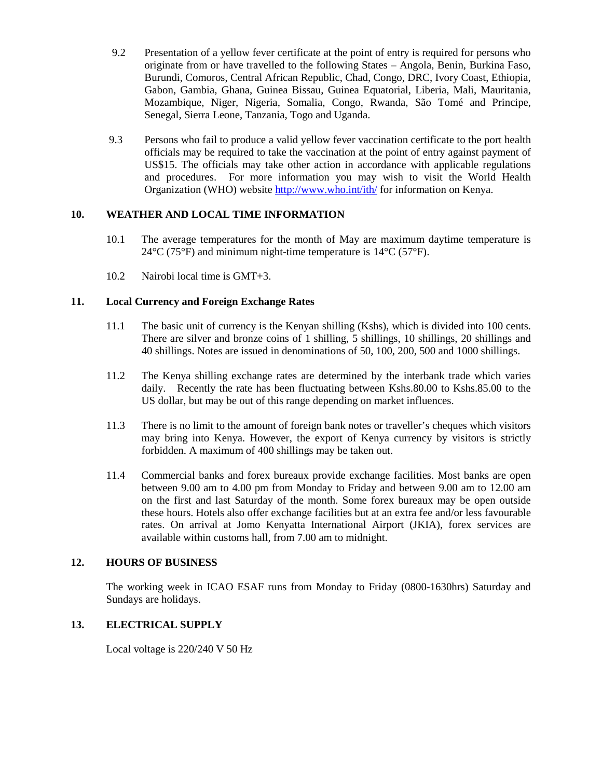- 9.2 Presentation of a yellow fever certificate at the point of entry is required for persons who originate from or have travelled to the following States – Angola, Benin, Burkina Faso, Burundi, Comoros, Central African Republic, Chad, Congo, DRC, Ivory Coast, Ethiopia, Gabon, Gambia, Ghana, Guinea Bissau, Guinea Equatorial, Liberia, Mali, Mauritania, Mozambique, Niger, Nigeria, Somalia, Congo, Rwanda, São Tomé and Principe, Senegal, Sierra Leone, Tanzania, Togo and Uganda.
- 9.3 Persons who fail to produce a valid yellow fever vaccination certificate to the port health officials may be required to take the vaccination at the point of entry against payment of US\$15. The officials may take other action in accordance with applicable regulations and procedures. For more information you may wish to visit the World Health Organization (WHO) website<http://www.who.int/ith/> for information on Kenya.

## **10. WEATHER AND LOCAL TIME INFORMATION**

- 10.1 The average temperatures for the month of May are maximum daytime temperature is  $24^{\circ}$ C (75°F) and minimum night-time temperature is 14°C (57°F).
- 10.2 Nairobi local time is GMT+3.

## **11. Local Currency and Foreign Exchange Rates**

- 11.1 The basic unit of currency is the Kenyan shilling (Kshs), which is divided into 100 cents. There are silver and bronze coins of 1 shilling, 5 shillings, 10 shillings, 20 shillings and 40 shillings. Notes are issued in denominations of 50, 100, 200, 500 and 1000 shillings.
- 11.2 The Kenya shilling exchange rates are determined by the interbank trade which varies daily. Recently the rate has been fluctuating between Kshs.80.00 to Kshs.85.00 to the US dollar, but may be out of this range depending on market influences.
- 11.3 There is no limit to the amount of foreign bank notes or traveller's cheques which visitors may bring into Kenya. However, the export of Kenya currency by visitors is strictly forbidden. A maximum of 400 shillings may be taken out.
- 11.4 Commercial banks and forex bureaux provide exchange facilities. Most banks are open between 9.00 am to 4.00 pm from Monday to Friday and between 9.00 am to 12.00 am on the first and last Saturday of the month. Some forex bureaux may be open outside these hours. Hotels also offer exchange facilities but at an extra fee and/or less favourable rates. On arrival at Jomo Kenyatta International Airport (JKIA), forex services are available within customs hall, from 7.00 am to midnight.

### **12. HOURS OF BUSINESS**

The working week in ICAO ESAF runs from Monday to Friday (0800-1630hrs) Saturday and Sundays are holidays.

## **13. ELECTRICAL SUPPLY**

Local voltage is 220/240 V 50 Hz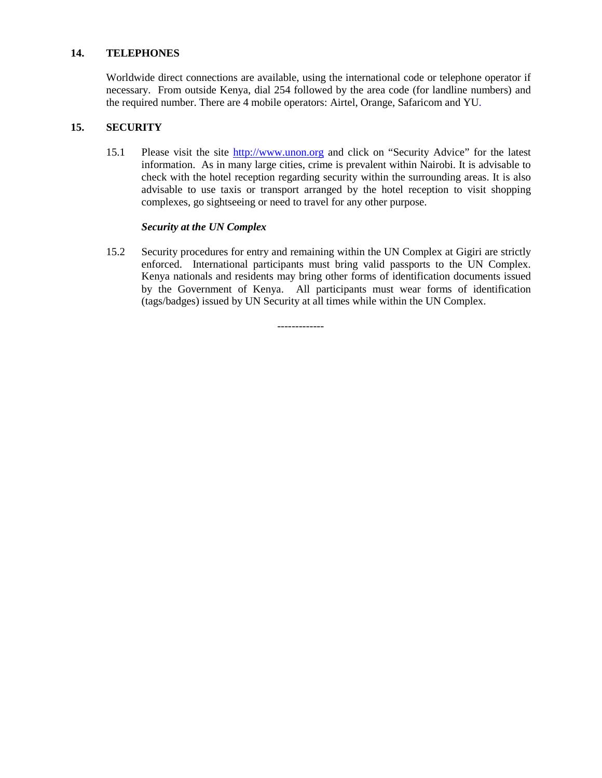#### **14. TELEPHONES**

Worldwide direct connections are available, using the international code or telephone operator if necessary. From outside Kenya, dial 254 followed by the area code (for landline numbers) and the required number. There are 4 mobile operators: Airtel, Orange, Safaricom and YU.

### **15. SECURITY**

15.1 Please visit the site [http://www.unon.org](http://www.unon.org/) and click on "Security Advice" for the latest information. As in many large cities, crime is prevalent within Nairobi. It is advisable to check with the hotel reception regarding security within the surrounding areas. It is also advisable to use taxis or transport arranged by the hotel reception to visit shopping complexes, go sightseeing or need to travel for any other purpose.

#### *Security at the UN Complex*

15.2 Security procedures for entry and remaining within the UN Complex at Gigiri are strictly enforced. International participants must bring valid passports to the UN Complex. Kenya nationals and residents may bring other forms of identification documents issued by the Government of Kenya. All participants must wear forms of identification (tags/badges) issued by UN Security at all times while within the UN Complex.

-------------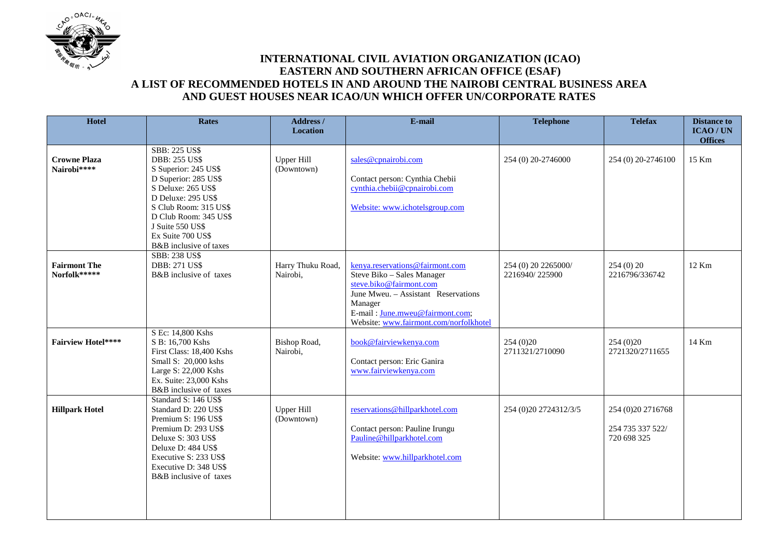

# **INTERNATIONAL CIVIL AVIATION ORGANIZATION (ICAO) EASTERN AND SOUTHERN AFRICAN OFFICE (ESAF) A LIST OF RECOMMENDED HOTELS IN AND AROUND THE NAIROBI CENTRAL BUSINESS AREA AND GUEST HOUSES NEAR ICAO/UN WHICH OFFER UN/CORPORATE RATES**

| <b>Hotel</b>                        | <b>Rates</b>                                                                                                                                                                                                                                                  | Address /<br><b>Location</b>    | E-mail                                                                                                                                                                                                                  | <b>Telephone</b>                      | <b>Telefax</b>                                         | <b>Distance to</b><br><b>ICAO/UN</b> |
|-------------------------------------|---------------------------------------------------------------------------------------------------------------------------------------------------------------------------------------------------------------------------------------------------------------|---------------------------------|-------------------------------------------------------------------------------------------------------------------------------------------------------------------------------------------------------------------------|---------------------------------------|--------------------------------------------------------|--------------------------------------|
|                                     |                                                                                                                                                                                                                                                               |                                 |                                                                                                                                                                                                                         |                                       |                                                        | <b>Offices</b>                       |
| <b>Crowne Plaza</b><br>Nairobi****  | <b>SBB: 225 US\$</b><br><b>DBB: 255 US\$</b><br>S Superior: 245 US\$<br>D Superior: 285 US\$<br>S Deluxe: 265 US\$<br>D Deluxe: 295 US\$<br>S Club Room: 315 US\$<br>D Club Room: 345 US\$<br>J Suite 550 US\$<br>Ex Suite 700 US\$<br>B&B inclusive of taxes | <b>Upper Hill</b><br>(Downtown) | sales@cpnairobi.com<br>Contact person: Cynthia Chebii<br>cynthia.chebii@cpnairobi.com<br>Website: www.ichotelsgroup.com                                                                                                 | 254 (0) 20-2746000                    | 254 (0) 20-2746100                                     | 15 Km                                |
| <b>Fairmont The</b><br>Norfolk***** | <b>SBB: 238 US\$</b><br><b>DBB: 271 US\$</b><br>B&B inclusive of taxes                                                                                                                                                                                        | Harry Thuku Road,<br>Nairobi,   | kenya.reservations@fairmont.com<br>Steve Biko - Sales Manager<br>steve.biko@fairmont.com<br>June Mweu. - Assistant Reservations<br>Manager<br>E-mail: June.mweu@fairmont.com;<br>Website: www.fairmont.com/norfolkhotel | 254 (0) 20 2265000/<br>2216940/225900 | 254(0)20<br>2216796/336742                             | 12 Km                                |
| <b>Fairview Hotel****</b>           | S Ec: 14,800 Kshs<br>S B: 16,700 Kshs<br>First Class: 18,400 Kshs<br>Small S: 20,000 kshs<br>Large S: 22,000 Kshs<br>Ex. Suite: 23,000 Kshs<br>B&B inclusive of taxes                                                                                         | Bishop Road,<br>Nairobi,        | book@fairviewkenya.com<br>Contact person: Eric Ganira<br>www.fairviewkenya.com                                                                                                                                          | 254 (0) 20<br>2711321/2710090         | 254 (0) 20<br>2721320/2711655                          | 14 Km                                |
| <b>Hillpark Hotel</b>               | Standard S: 146 US\$<br>Standard D: 220 US\$<br>Premium S: 196 US\$<br>Premium D: 293 US\$<br>Deluxe S: 303 US\$<br>Deluxe D: 484 US\$<br>Executive S: 233 US\$<br>Executive D: 348 US\$<br>B&B inclusive of taxes                                            | Upper Hill<br>(Downtown)        | reservations@hillparkhotel.com<br>Contact person: Pauline Irungu<br>Pauline@hillparkhotel.com<br>Website: www.hillparkhotel.com                                                                                         | 254 (0) 20 27 24 31 2/3/5             | 254 (0) 20 27 16768<br>254 735 337 522/<br>720 698 325 |                                      |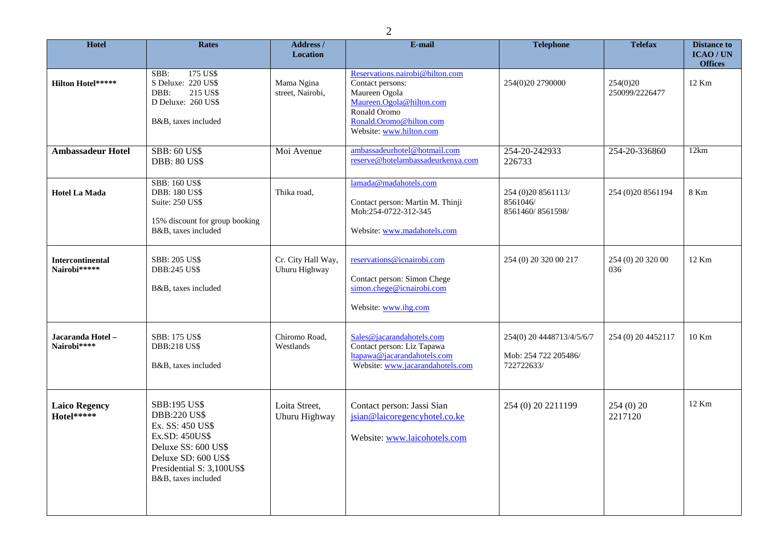| Hotel                                   | Rates                                                                                                                                                                              | Address /<br><b>Location</b>        | E-mail                                                                                                                                                                 | <b>Telephone</b>                                                | <b>Telefax</b>             | <b>Distance to</b><br>ICAO/UN<br><b>Offices</b> |
|-----------------------------------------|------------------------------------------------------------------------------------------------------------------------------------------------------------------------------------|-------------------------------------|------------------------------------------------------------------------------------------------------------------------------------------------------------------------|-----------------------------------------------------------------|----------------------------|-------------------------------------------------|
| <b>Hilton Hotel*****</b>                | 175 US\$<br>SBB:<br>S Deluxe: 220 US\$<br>215 US\$<br>DBB:<br>D Deluxe: 260 US\$<br>B&B, taxes included                                                                            | Mama Ngina<br>street, Nairobi,      | Reservations.nairobi@hilton.com<br>Contact persons:<br>Maureen Ogola<br>Maureen.Ogola@hilton.com<br>Ronald Oromo<br>Ronald.Oromo@hilton.com<br>Website: www.hilton.com | 254(0)20 2790000                                                | 254(0)20<br>250099/2226477 | 12 Km                                           |
| <b>Ambassadeur Hotel</b>                | <b>SBB: 60 US\$</b><br><b>DBB: 80 US\$</b>                                                                                                                                         | Moi Avenue                          | ambassadeurhotel@hotmail.com<br>reserve@hotelambassadeurkenya.com                                                                                                      | 254-20-242933<br>226733                                         | 254-20-336860              | 12km                                            |
| <b>Hotel La Mada</b>                    | <b>SBB: 160 US\$</b><br><b>DBB: 180 US\$</b><br><b>Suite: 250 US\$</b><br>15% discount for group booking<br>B&B, taxes included                                                    | Thika road,                         | lamada@madahotels.com<br>Contact person: Martin M. Thinji<br>Mob:254-0722-312-345<br>Website: www.madahotels.com                                                       | 254 (0)20 8561113/<br>8561046/<br>8561460/8561598/              | 254 (0) 20 8561194         | 8 Km                                            |
| <b>Intercontinental</b><br>Nairobi***** | <b>SBB: 205 US\$</b><br><b>DBB:245 US\$</b><br>B&B, taxes included                                                                                                                 | Cr. City Hall Way,<br>Uhuru Highway | reservations@icnairobi.com<br>Contact person: Simon Chege<br>simon.chege@icnairobi.com<br>Website: www.ihg.com                                                         | 254 (0) 20 320 00 217                                           | 254 (0) 20 320 00<br>036   | 12 Km                                           |
| Jacaranda Hotel -<br>Nairobi****        | <b>SBB: 175 US\$</b><br><b>DBB:218 US\$</b><br>B&B, taxes included                                                                                                                 | Chiromo Road,<br>Westlands          | Sales@jacarandahotels.com<br>Contact person: Liz Tapawa<br>ltapawa@jacarandahotels.com<br>Website: www.jacarandahotels.com                                             | 254(0) 20 4448713/4/5/6/7<br>Mob: 254 722 205486/<br>722722633/ | 254 (0) 20 4452117         | 10 Km                                           |
| <b>Laico Regency</b><br>Hotel*****      | <b>SBB:195 US\$</b><br><b>DBB:220 US\$</b><br>Ex. SS: 450 US\$<br>Ex.SD: 450US\$<br>Deluxe SS: 600 US\$<br>Deluxe SD: 600 US\$<br>Presidential S: 3,100US\$<br>B&B, taxes included | Loita Street,<br>Uhuru Highway      | Contact person: Jassi Sian<br>jsian@laicoregencyhotel.co.ke<br>Website: www.laicohotels.com                                                                            | 254 (0) 20 2211199                                              | 254(0)20<br>2217120        | 12 Km                                           |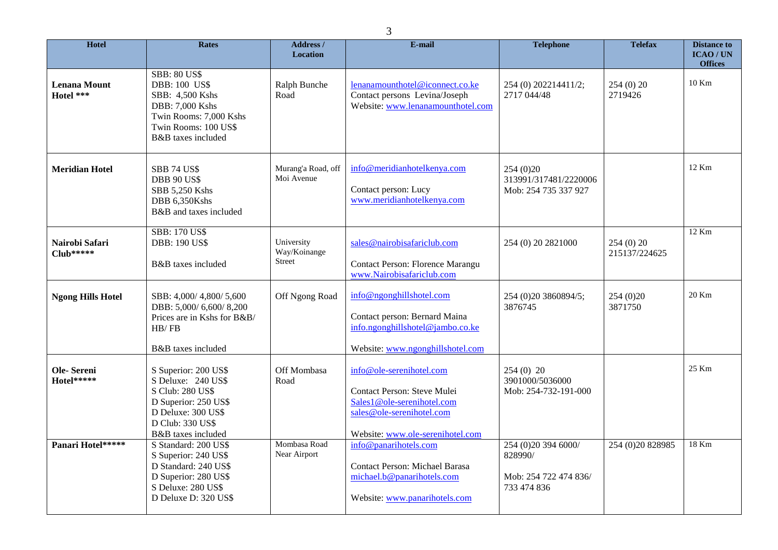| <b>Hotel</b>                     | <b>Rates</b>                                                                                                                                              | <b>Address /</b><br><b>Location</b>         | E-mail                                                                                                                                                 | <b>Telephone</b>                                                        | <b>Telefax</b>            | <b>Distance to</b><br><b>ICAO/UN</b> |
|----------------------------------|-----------------------------------------------------------------------------------------------------------------------------------------------------------|---------------------------------------------|--------------------------------------------------------------------------------------------------------------------------------------------------------|-------------------------------------------------------------------------|---------------------------|--------------------------------------|
| <b>Lenana Mount</b><br>Hotel *** | <b>SBB: 80 US\$</b><br><b>DBB: 100 US\$</b><br>SBB: 4,500 Kshs<br>DBB: 7,000 Kshs<br>Twin Rooms: 7,000 Kshs<br>Twin Rooms: 100 US\$<br>B&B taxes included | Ralph Bunche<br>Road                        | lenanamounthotel@iconnect.co.ke<br>Contact persons Levina/Joseph<br>Website: www.lenanamounthotel.com                                                  | 254 (0) 202214411/2;<br>2717 044/48                                     | 254(0)20<br>2719426       | <b>Offices</b><br>10 Km              |
| <b>Meridian Hotel</b>            | <b>SBB 74 US\$</b><br><b>DBB 90 US\$</b><br>SBB 5,250 Kshs<br>DBB 6,350Kshs<br>B&B and taxes included                                                     | Murang'a Road, off<br>Moi Avenue            | info@meridianhotelkenya.com<br>Contact person: Lucy<br>www.meridianhotelkenya.com                                                                      | 254 (0) 20<br>313991/317481/2220006<br>Mob: 254 735 337 927             |                           | 12 Km                                |
| Nairobi Safari<br>$Club*****$    | <b>SBB: 170 US\$</b><br><b>DBB: 190 US\$</b><br>B&B taxes included                                                                                        | University<br>Way/Koinange<br><b>Street</b> | sales@nairobisafariclub.com<br>Contact Person: Florence Marangu<br>www.Nairobisafariclub.com                                                           | 254 (0) 20 2821000                                                      | 254(0)20<br>215137/224625 | 12 Km                                |
| <b>Ngong Hills Hotel</b>         | SBB: 4,000/4,800/5,600<br>DBB: 5,000/6,600/8,200<br>Prices are in Kshs for B&B/<br>HB/FB<br>B&B taxes included                                            | Off Ngong Road                              | info@ngonghillshotel.com<br>Contact person: Bernard Maina<br>info.ngonghillshotel@jambo.co.ke<br>Website: www.ngonghillshotel.com                      | 254 (0) 20 3860894/5;<br>3876745                                        | 254(0)20<br>3871750       | 20 Km                                |
| Ole-Sereni<br>Hotel*****         | S Superior: 200 US\$<br>S Deluxe: 240 US\$<br>S Club: 280 US\$<br>D Superior: 250 US\$<br>D Deluxe: 300 US\$<br>D Club: 330 US\$<br>B&B taxes included    | Off Mombasa<br>Road                         | info@ole-serenihotel.com<br>Contact Person: Steve Mulei<br>Sales1@ole-serenihotel.com<br>sales@ole-serenihotel.com<br>Website: www.ole-serenihotel.com | $254(0)$ 20<br>3901000/5036000<br>Mob: 254-732-191-000                  |                           | 25 Km                                |
| Panari Hotel*****                | S Standard: 200 US\$<br>S Superior: 240 US\$<br>D Standard: 240 US\$<br>D Superior: 280 US\$<br>S Deluxe: 280 US\$<br>D Deluxe D: 320 US\$                | Mombasa Road<br>Near Airport                | info@panarihotels.com<br><b>Contact Person: Michael Barasa</b><br>michael.b@panarihotels.com<br>Website: www.panarihotels.com                          | 254 (0) 20 394 6000/<br>828990/<br>Mob: 254 722 474 836/<br>733 474 836 | 254 (0) 20 8 289 85       | 18 Km                                |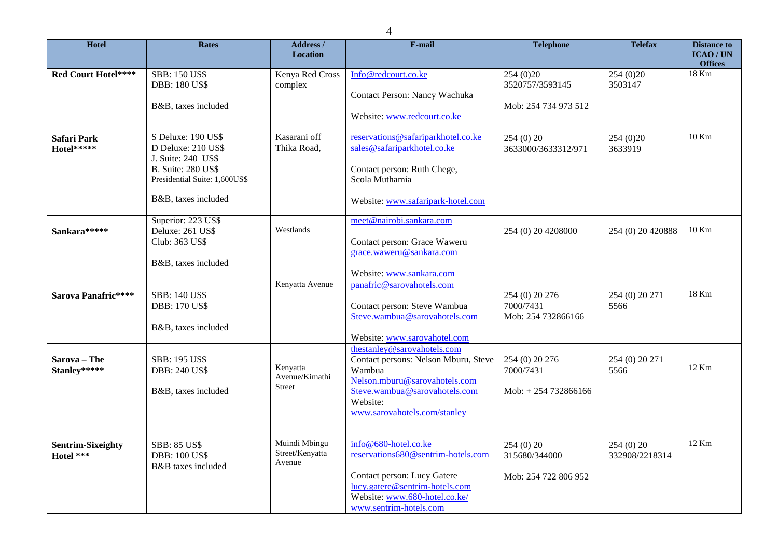| <b>Hotel</b>                          | Rates                                                                                                                                               | Address /<br><b>Location</b>                | E-mail                                                                                                                                                                                      | <b>Telephone</b>                                    | <b>Telefax</b>             | <b>Distance to</b><br><b>ICAO/UN</b><br><b>Offices</b> |
|---------------------------------------|-----------------------------------------------------------------------------------------------------------------------------------------------------|---------------------------------------------|---------------------------------------------------------------------------------------------------------------------------------------------------------------------------------------------|-----------------------------------------------------|----------------------------|--------------------------------------------------------|
| Red Court Hotel****                   | <b>SBB: 150 US\$</b><br><b>DBB: 180 US\$</b><br>B&B, taxes included                                                                                 | Kenya Red Cross<br>complex                  | Info@redcourt.co.ke<br>Contact Person: Nancy Wachuka<br>Website: www.redcourt.co.ke                                                                                                         | 254(0)20<br>3520757/3593145<br>Mob: 254 734 973 512 | 254(0)20<br>3503147        | 18 Km                                                  |
| <b>Safari Park</b><br>Hotel*****      | S Deluxe: 190 US\$<br>D Deluxe: 210 US\$<br>J. Suite: 240 US\$<br><b>B.</b> Suite: 280 US\$<br>Presidential Suite: 1,600US\$<br>B&B, taxes included | Kasarani off<br>Thika Road,                 | reservations@safariparkhotel.co.ke<br>sales@safariparkhotel.co.ke<br>Contact person: Ruth Chege,<br>Scola Muthamia<br>Website: www.safaripark-hotel.com                                     | 254 (0) 20<br>3633000/3633312/971                   | 254 (0) 20<br>3633919      | 10 Km                                                  |
| Sankara*****                          | Superior: 223 US\$<br>Deluxe: 261 US\$<br>Club: 363 US\$<br>B&B, taxes included                                                                     | Westlands                                   | meet@nairobi.sankara.com<br>Contact person: Grace Waweru<br>grace.waweru@sankara.com<br>Website: www.sankara.com                                                                            | 254 (0) 20 4208000                                  | 254 (0) 20 420888          | 10 Km                                                  |
| Sarova Panafric****                   | <b>SBB: 140 US\$</b><br><b>DBB: 170 US\$</b><br>B&B, taxes included                                                                                 | Kenyatta Avenue                             | panafric@sarovahotels.com<br>Contact person: Steve Wambua<br>Steve.wambua@sarovahotels.com<br>Website: www.sarovahotel.com                                                                  | 254 (0) 20 276<br>7000/7431<br>Mob: 254 732866166   | 254 (0) 20 271<br>5566     | 18 Km                                                  |
| Sarova - The<br>Stanley*****          | <b>SBB: 195 US\$</b><br><b>DBB: 240 US\$</b><br>B&B, taxes included                                                                                 | Kenyatta<br>Avenue/Kimathi<br><b>Street</b> | thestanley@sarovahotels.com<br>Contact persons: Nelson Mburu, Steve<br>Wambua<br>Nelson.mburu@sarovahotels.com<br>Steve.wambua@sarovahotels.com<br>Website:<br>www.sarovahotels.com/stanley | 254 (0) 20 276<br>7000/7431<br>Mob: $+254732866166$ | 254 (0) 20 271<br>5566     | 12 Km                                                  |
| <b>Sentrim-Sixeighty</b><br>Hotel *** | <b>SBB: 85 US\$</b><br><b>DBB: 100 US\$</b><br>B&B taxes included                                                                                   | Muindi Mbingu<br>Street/Kenyatta<br>Avenue  | info@680-hotel.co.ke<br>reservations680@sentrim-hotels.com<br>Contact person: Lucy Gatere<br>lucy.gatere@sentrim-hotels.com<br>Website: www.680-hotel.co.ke/<br>www.sentrim-hotels.com      | 254(0)20<br>315680/344000<br>Mob: 254 722 806 952   | 254(0)20<br>332908/2218314 | 12 Km                                                  |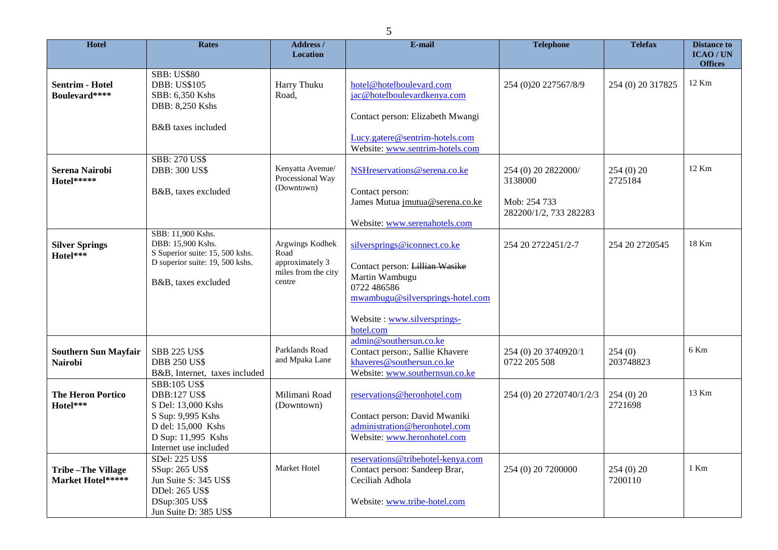| Hotel                                         | <b>Rates</b>                                                                            | Address /<br>Location                                             | E-mail                                                                                                                   | <b>Telephone</b>                       | <b>Telefax</b>      | <b>Distance to</b><br>ICAO/UN |
|-----------------------------------------------|-----------------------------------------------------------------------------------------|-------------------------------------------------------------------|--------------------------------------------------------------------------------------------------------------------------|----------------------------------------|---------------------|-------------------------------|
|                                               | <b>SBB: US\$80</b>                                                                      |                                                                   |                                                                                                                          |                                        |                     | <b>Offices</b><br>12 Km       |
| <b>Sentrim - Hotel</b><br>Boulevard****       | <b>DBB: US\$105</b><br>SBB: 6,350 Kshs<br><b>DBB: 8,250 Kshs</b>                        | Harry Thuku<br>Road,                                              | hotel@hotelboulevard.com<br>jac@hotelboulevardkenya.com                                                                  | 254 (0) 20 227567/8/9                  | 254 (0) 20 317825   |                               |
|                                               | B&B taxes included                                                                      |                                                                   | Contact person: Elizabeth Mwangi                                                                                         |                                        |                     |                               |
|                                               |                                                                                         |                                                                   | Lucy.gatere@sentrim-hotels.com<br>Website: www.sentrim-hotels.com                                                        |                                        |                     |                               |
| <b>Serena Nairobi</b><br>Hotel*****           | <b>SBB: 270 US\$</b><br><b>DBB: 300 US\$</b>                                            | Kenyatta Avenue/<br>Processional Way<br>(Downtown)                | NSHreservations@serena.co.ke                                                                                             | 254 (0) 20 2822000/<br>3138000         | 254(0)20<br>2725184 | 12 Km                         |
|                                               | B&B, taxes excluded                                                                     |                                                                   | Contact person:<br>James Mutua <i>imutua@serena.co.ke</i>                                                                | Mob: 254 733<br>282200/1/2, 733 282283 |                     |                               |
|                                               | SBB: 11,900 Kshs.                                                                       |                                                                   | Website: www.serenahotels.com                                                                                            |                                        |                     |                               |
| <b>Silver Springs</b><br>Hotel***             | DBB: 15,900 Kshs.<br>S Superior suite: 15, 500 kshs.<br>D superior suite: 19, 500 kshs. | Argwings Kodhek<br>Road<br>approximately 3<br>miles from the city | silversprings@iconnect.co.ke<br>Contact person: Lillian Wasike                                                           | 254 20 2722451/2-7                     | 254 20 27 20545     | 18 Km                         |
|                                               | B&B, taxes excluded                                                                     | centre                                                            | Martin Wambugu<br>0722 486586<br>mwambugu@silversprings-hotel.com                                                        |                                        |                     |                               |
|                                               |                                                                                         |                                                                   | Website: www.silversprings-<br>hotel.com                                                                                 |                                        |                     |                               |
| <b>Southern Sun Mayfair</b><br>Nairobi        | <b>SBB 225 US\$</b><br><b>DBB 250 US\$</b><br>B&B, Internet, taxes included             | Parklands Road<br>and Mpaka Lane                                  | admin@southersun.co.ke<br>Contact person:, Sallie Khavere<br>khaveres@southersun.co.ke<br>Website: www.southernsun.co.ke | 254 (0) 20 3740920/1<br>0722 205 508   | 254(0)<br>203748823 | 6 Km                          |
| <b>The Heron Portico</b><br>Hotel***          | <b>SBB:105 US\$</b><br><b>DBB:127 US\$</b><br>S Del: 13,000 Kshs                        | Milimani Road<br>(Downtown)                                       | reservations@heronhotel.com                                                                                              | 254 (0) 20 2720740/1/2/3               | 254(0)20<br>2721698 | 13 Km                         |
|                                               | S Sup: 9,995 Kshs<br>D del: 15,000 Kshs<br>D Sup: 11,995 Kshs<br>Internet use included  |                                                                   | Contact person: David Mwaniki<br>administration@heronhotel.com<br>Website: www.heronhotel.com                            |                                        |                     |                               |
| <b>Tribe-The Village</b><br>Market Hotel***** | SDel: 225 US\$<br>SSup: 265 US\$<br>Jun Suite S: 345 US\$<br><b>DDel: 265 US\$</b>      | Market Hotel                                                      | reservations@tribehotel-kenya.com<br>Contact person: Sandeep Brar,<br>Ceciliah Adhola                                    | 254 (0) 20 7200000                     | 254(0)20<br>7200110 | 1 Km                          |
|                                               | DSup:305 US\$<br>Jun Suite D: 385 US\$                                                  |                                                                   | Website: www.tribe-hotel.com                                                                                             |                                        |                     |                               |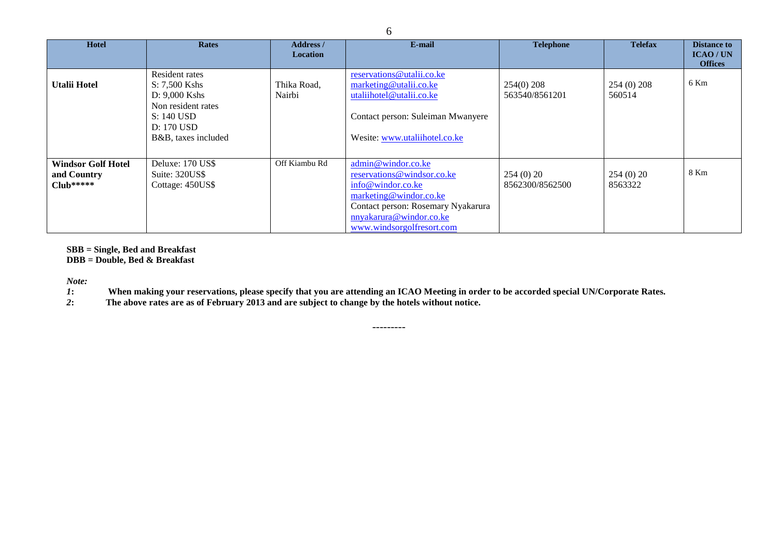| <b>Hotel</b>                                             | <b>Rates</b>                                                                                                                | <b>Address</b> /<br><b>Location</b> | E-mail                                                                                                                                                                                        | <b>Telephone</b>               | <b>Telefax</b>        | <b>Distance to</b><br>ICAO/UN<br><b>Offices</b> |
|----------------------------------------------------------|-----------------------------------------------------------------------------------------------------------------------------|-------------------------------------|-----------------------------------------------------------------------------------------------------------------------------------------------------------------------------------------------|--------------------------------|-----------------------|-------------------------------------------------|
| <b>Utalii Hotel</b>                                      | Resident rates<br>S: 7,500 Kshs<br>$D: 9,000$ Kshs<br>Non resident rates<br>S: 140 USD<br>D: 170 USD<br>B&B, taxes included | Thika Road,<br>Nairbi               | reservations@utalii.co.ke<br>marketing@utalii.co.ke<br>utaliihotel@utalii.co.ke<br>Contact person: Suleiman Mwanyere<br>Wesite: www.utaliihotel.co.ke                                         | $254(0)$ 208<br>563540/8561201 | 254 (0) 208<br>560514 | 6 Km                                            |
| <b>Windsor Golf Hotel</b><br>and Country<br>$C$ lub***** | Deluxe: 170 US\$<br>Suite: 320US\$<br>Cottage: 450US\$                                                                      | Off Kiambu Rd                       | admin@windor.co.ke<br>reservations@windsor.co.ke<br>info@windor.co.ke<br>marketing@windor.co.ke<br>Contact person: Rosemary Nyakarura<br>nnyakarura@windor.co.ke<br>www.windsorgolfresort.com | 254(0)20<br>8562300/8562500    | 254(0)20<br>8563322   | 8 Km                                            |

**SBB = Single, Bed and Breakfast DBB = Double, Bed & Breakfast**

*Note: 1***: When making your reservations, please specify that you are attending an ICAO Meeting in order to be accorded special UN/Corporate Rates.**

---------

*2***: The above rates are as of February 2013 and are subject to change by the hotels without notice.**

6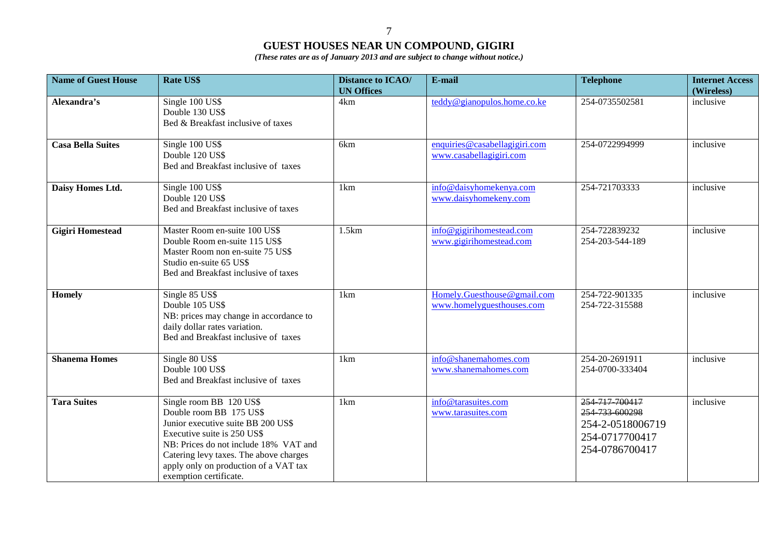7

## **GUEST HOUSES NEAR UN COMPOUND, GIGIRI**

*(These rates are as of January 2013 and are subject to change without notice.)*

| <b>Name of Guest House</b> | <b>Rate US\$</b>                                                                                                                                                                                                                                                              | <b>Distance to ICAO/</b><br><b>UN Offices</b> | E-mail                                                   | <b>Telephone</b>                                                                         | <b>Internet Access</b><br>(Wireless) |
|----------------------------|-------------------------------------------------------------------------------------------------------------------------------------------------------------------------------------------------------------------------------------------------------------------------------|-----------------------------------------------|----------------------------------------------------------|------------------------------------------------------------------------------------------|--------------------------------------|
| Alexandra's                | Single 100 US\$<br>Double 130 US\$<br>Bed & Breakfast inclusive of taxes                                                                                                                                                                                                      | 4km                                           | teddy@gianopulos.home.co.ke                              | 254-0735502581                                                                           | inclusive                            |
| <b>Casa Bella Suites</b>   | Single 100 US\$<br>Double 120 US\$<br>Bed and Breakfast inclusive of taxes                                                                                                                                                                                                    | 6km                                           | enquiries@casabellagigiri.com<br>www.casabellagigiri.com | 254-0722994999                                                                           | inclusive                            |
| Daisy Homes Ltd.           | Single 100 US\$<br>Double 120 US\$<br>Bed and Breakfast inclusive of taxes                                                                                                                                                                                                    | 1km                                           | info@daisyhomekenya.com<br>www.daisyhomekeny.com         | 254-721703333                                                                            | inclusive                            |
| <b>Gigiri Homestead</b>    | Master Room en-suite 100 US\$<br>Double Room en-suite 115 US\$<br>Master Room non en-suite 75 US\$<br>Studio en-suite 65 US\$<br>Bed and Breakfast inclusive of taxes                                                                                                         | 1.5km                                         | info@gigirihomestead.com<br>www.gigirihomestead.com      | 254-722839232<br>254-203-544-189                                                         | inclusive                            |
| Homely                     | Single 85 US\$<br>Double 105 US\$<br>NB: prices may change in accordance to<br>daily dollar rates variation.<br>Bed and Breakfast inclusive of taxes                                                                                                                          | 1km                                           | Homely.Guesthouse@gmail.com<br>www.homelyguesthouses.com | 254-722-901335<br>254-722-315588                                                         | inclusive                            |
| <b>Shanema Homes</b>       | Single 80 US\$<br>Double 100 US\$<br>Bed and Breakfast inclusive of taxes                                                                                                                                                                                                     | 1km                                           | info@shanemahomes.com<br>www.shanemahomes.com            | 254-20-2691911<br>254-0700-333404                                                        | inclusive                            |
| <b>Tara Suites</b>         | Single room BB 120 US\$<br>Double room BB 175 US\$<br>Junior executive suite BB 200 US\$<br>Executive suite is 250 US\$<br>NB: Prices do not include 18% VAT and<br>Catering levy taxes. The above charges<br>apply only on production of a VAT tax<br>exemption certificate. | 1 <sub>km</sub>                               | info@tarasuites.com<br>www.tarasuites.com                | 254 717 700417<br>254 733 600298<br>254-2-0518006719<br>254-0717700417<br>254-0786700417 | inclusive                            |